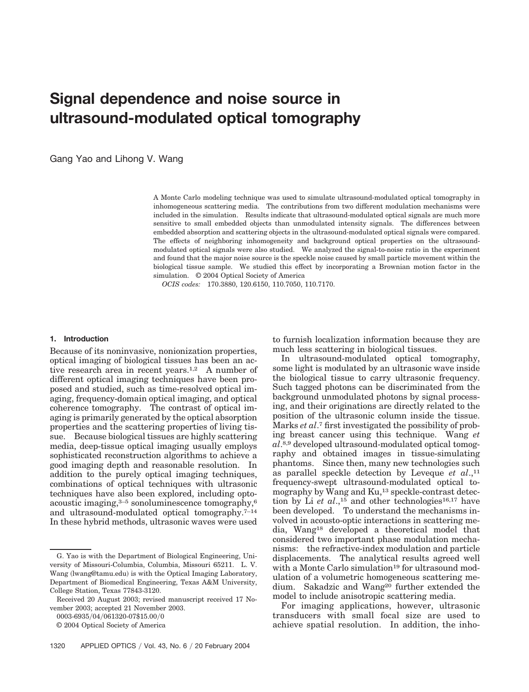# **Signal dependence and noise source in ultrasound-modulated optical tomography**

Gang Yao and Lihong V. Wang

A Monte Carlo modeling technique was used to simulate ultrasound-modulated optical tomography in inhomogeneous scattering media. The contributions from two different modulation mechanisms were included in the simulation. Results indicate that ultrasound-modulated optical signals are much more sensitive to small embedded objects than unmodulated intensity signals. The differences between embedded absorption and scattering objects in the ultrasound-modulated optical signals were compared. The effects of neighboring inhomogeneity and background optical properties on the ultrasoundmodulated optical signals were also studied. We analyzed the signal-to-noise ratio in the experiment and found that the major noise source is the speckle noise caused by small particle movement within the biological tissue sample. We studied this effect by incorporating a Brownian motion factor in the simulation. © 2004 Optical Society of America

*OCIS codes:* 170.3880, 120.6150, 110.7050, 110.7170.

#### **1. Introduction**

Because of its noninvasive, nonionization properties, optical imaging of biological tissues has been an active research area in recent years.<sup>1,2</sup> A number of different optical imaging techniques have been proposed and studied, such as time-resolved optical imaging, frequency-domain optical imaging, and optical coherence tomography. The contrast of optical imaging is primarily generated by the optical absorption properties and the scattering properties of living tissue. Because biological tissues are highly scattering media, deep-tissue optical imaging usually employs sophisticated reconstruction algorithms to achieve a good imaging depth and reasonable resolution. In addition to the purely optical imaging techniques, combinations of optical techniques with ultrasonic techniques have also been explored, including optoacoustic imaging,3–5 sonoluminescence tomography,6 and ultrasound-modulated optical tomography.7–14 In these hybrid methods, ultrasonic waves were used

0003-6935/04/061320-07\$15.00/0

© 2004 Optical Society of America

to furnish localization information because they are much less scattering in biological tissues.

In ultrasound-modulated optical tomography, some light is modulated by an ultrasonic wave inside the biological tissue to carry ultrasonic frequency. Such tagged photons can be discriminated from the background unmodulated photons by signal processing, and their originations are directly related to the position of the ultrasonic column inside the tissue. Marks *et al*.7 first investigated the possibility of probing breast cancer using this technique. Wang *et al*.8,9 developed ultrasound-modulated optical tomography and obtained images in tissue-simulating phantoms. Since then, many new technologies such as parallel speckle detection by Leveque *et al*.,11 frequency-swept ultrasound-modulated optical tomography by Wang and Ku,13 speckle-contrast detection by Li *et al.*,<sup>15</sup> and other technologies<sup>16,17</sup> have been developed. To understand the mechanisms involved in acousto-optic interactions in scattering media, Wang18 developed a theoretical model that considered two important phase modulation mechanisms: the refractive-index modulation and particle displacements. The analytical results agreed well with a Monte Carlo simulation<sup>19</sup> for ultrasound modulation of a volumetric homogeneous scattering medium. Sakadzic and Wang<sup>20</sup> further extended the model to include anisotropic scattering media.

For imaging applications, however, ultrasonic transducers with small focal size are used to achieve spatial resolution. In addition, the inho-

G. Yao is with the Department of Biological Engineering, University of Missouri-Columbia, Columbia, Missouri 65211. L. V. Wang (lwang@tamu.edu) is with the Optical Imaging Laboratory, Department of Biomedical Engineering, Texas A&M University, College Station, Texas 77843-3120.

Received 20 August 2003; revised manuscript received 17 November 2003; accepted 21 November 2003.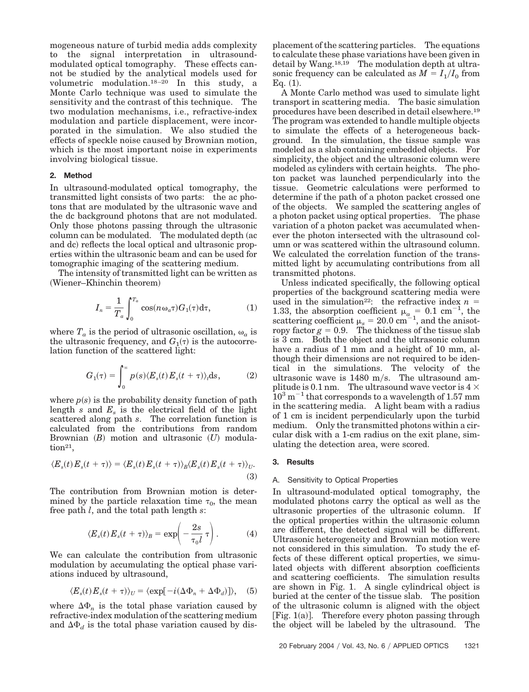mogeneous nature of turbid media adds complexity to the signal interpretation in ultrasoundmodulated optical tomography. These effects cannot be studied by the analytical models used for volumetric modulation.18–20 In this study, a Monte Carlo technique was used to simulate the sensitivity and the contrast of this technique. The two modulation mechanisms, i.e., refractive-index modulation and particle displacement, were incorporated in the simulation. We also studied the effects of speckle noise caused by Brownian motion, which is the most important noise in experiments involving biological tissue.

# **2. Method**

In ultrasound-modulated optical tomography, the transmitted light consists of two parts: the ac photons that are modulated by the ultrasonic wave and the dc background photons that are not modulated. Only those photons passing through the ultrasonic column can be modulated. The modulated depth (ac and dc) reflects the local optical and ultrasonic properties within the ultrasonic beam and can be used for tomographic imaging of the scattering medium.

The intensity of transmitted light can be written as (Wiener-Khinchin theorem)

$$
I_n = \frac{1}{T_a} \int_0^{T_a} \cos(n\omega_a \tau) G_1(\tau) d\tau,
$$
 (1)

where  $T_a$  is the period of ultrasonic oscillation,  $\omega_a$  is the ultrasonic frequency, and  $G_1(\tau)$  is the autocorrelation function of the scattered light:

$$
G_1(\tau) = \int_0^\infty p(s) \langle E_s(t) E_s(t + \tau) \rangle_t \mathrm{d}s,\tag{2}
$$

where  $p(s)$  is the probability density function of path length *s* and *Es* is the electrical field of the light scattered along path *s*. The correlation function is calculated from the contributions from random Brownian *(B)* motion and ultrasonic *(U)* modula- $\text{tion}^{21}$ ,

$$
\langle E_s(t) E_s(t+\tau) \rangle = \langle E_s(t) E_s(t+\tau) \rangle_B \langle E_s(t) E_s(t+\tau) \rangle_U. \tag{3}
$$

The contribution from Brownian motion is determined by the particle relaxation time  $\tau_0$ , the mean free path *l*, and the total path length *s*:

$$
\langle E_s(t) E_s(t+\tau) \rangle_B = \exp\left(-\frac{2s}{\tau_0 l} \tau\right). \tag{4}
$$

We can calculate the contribution from ultrasonic modulation by accumulating the optical phase variations induced by ultrasound,

$$
\langle E_s(t) E_s(t+\tau) \rangle_U = \langle \exp[-i(\Delta \Phi_n + \Delta \Phi_d)] \rangle, \quad (5)
$$

where  $\Delta \Phi_n$  is the total phase variation caused by refractive-index modulation of the scattering medium and  $\Delta \Phi_d$  is the total phase variation caused by displacement of the scattering particles. The equations to calculate these phase variations have been given in detail by Wang.18,19 The modulation depth at ultrasonic frequency can be calculated as  $M = I_1/I_0$  from Eq.  $(1)$ .

A Monte Carlo method was used to simulate light transport in scattering media. The basic simulation procedures have been described in detail elsewhere.19 The program was extended to handle multiple objects to simulate the effects of a heterogeneous background. In the simulation, the tissue sample was modeled as a slab containing embedded objects. For simplicity, the object and the ultrasonic column were modeled as cylinders with certain heights. The photon packet was launched perpendicularly into the tissue. Geometric calculations were performed to determine if the path of a photon packet crossed one of the objects. We sampled the scattering angles of a photon packet using optical properties. The phase variation of a photon packet was accumulated whenever the photon intersected with the ultrasound column or was scattered within the ultrasound column. We calculated the correlation function of the transmitted light by accumulating contributions from all transmitted photons.

Unless indicated specifically, the following optical properties of the background scattering media were used in the simulation<sup>22</sup>: the refractive index  $n =$ 1.33, the absorption coefficient  $\mu_a = 0.1 \text{ cm}^{-1}$ , the scattering coefficient  $\mu_s = 20.0 \text{ cm}^{-1}$ , and the anisotropy factor  $g = 0.9$ . The thickness of the tissue slab is 3 cm. Both the object and the ultrasonic column have a radius of 1 mm and a height of 10 mm, although their dimensions are not required to be identical in the simulations. The velocity of the ultrasonic wave is  $1480$  m/s. The ultrasound amplitude is 0.1 nm. The ultrasound wave vector is  $4 \times$  $10^3 \text{ m}^{-1}$  that corresponds to a wavelength of 1.57 mm in the scattering media. A light beam with a radius of 1 cm is incident perpendicularly upon the turbid medium. Only the transmitted photons within a circular disk with a 1-cm radius on the exit plane, simulating the detection area, were scored.

## **3. Results**

## A. Sensitivity to Optical Properties

In ultrasound-modulated optical tomography, the modulated photons carry the optical as well as the ultrasonic properties of the ultrasonic column. If the optical properties within the ultrasonic column are different, the detected signal will be different. Ultrasonic heterogeneity and Brownian motion were not considered in this simulation. To study the effects of these different optical properties, we simulated objects with different absorption coefficients and scattering coefficients. The simulation results are shown in Fig. 1. A single cylindrical object is buried at the center of the tissue slab. The position of the ultrasonic column is aligned with the object [Fig. 1(a)]. Therefore every photon passing through the object will be labeled by the ultrasound. The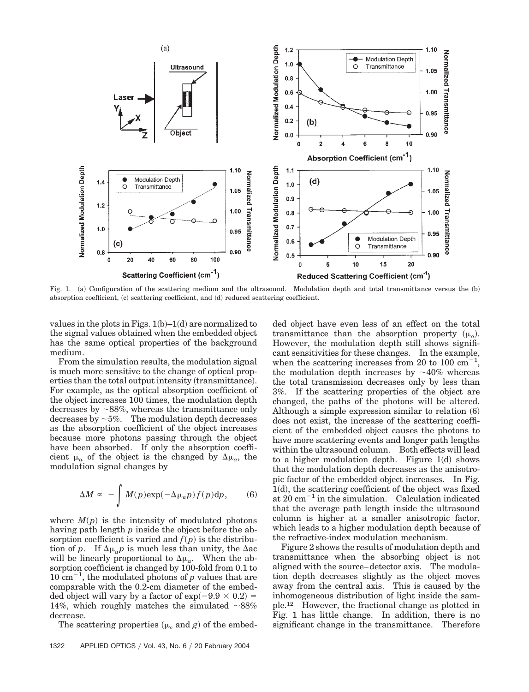

Fig. 1. (a) Configuration of the scattering medium and the ultrasound. Modulation depth and total transmittance versus the (b) absorption coefficient, (c) scattering coefficient, and (d) reduced scattering coefficient.

values in the plots in Figs.  $1(b)-1(d)$  are normalized to the signal values obtained when the embedded object has the same optical properties of the background medium.

From the simulation results, the modulation signal is much more sensitive to the change of optical properties than the total output intensity (transmittance). For example, as the optical absorption coefficient of the object increases 100 times, the modulation depth decreases by  $\sim$ 88%, whereas the transmittance only decreases by  $\sim$ 5%. The modulation depth decreases as the absorption coefficient of the object increases because more photons passing through the object have been absorbed. If only the absorption coefficient  $\mu_a$  of the object is the changed by  $\Delta \mu_a$ , the modulation signal changes by

$$
\Delta M \propto -\int M(p) \exp(-\Delta \mu_a p) f(p) dp, \qquad (6)
$$

where  $M(p)$  is the intensity of modulated photons having path length *p* inside the object before the absorption coefficient is varied and  $f(p)$  is the distribution of *p*. If  $\Delta \mu_a p$  is much less than unity, the  $\Delta ac$ will be linearly proportional to  $\Delta \mu_a$ . When the absorption coefficient is changed by 100-fold from 0.1 to  $10 \text{ cm}^{-1}$ , the modulated photons of *p* values that are comparable with the 0.2-cm diameter of the embedded object will vary by a factor of  $\exp(-9.9 \times 0.2)$ 14%, which roughly matches the simulated  $~88\%$ decrease.

The scattering properties  $(\mu_s \text{ and } g)$  of the embed-

ded object have even less of an effect on the total transmittance than the absorption property  $(\mu_a)$ . However, the modulation depth still shows significant sensitivities for these changes. In the example, when the scattering increases from 20 to 100  $\text{cm}^{-1}$ , the modulation depth increases by  $\sim$ 40% whereas the total transmission decreases only by less than 3%. If the scattering properties of the object are changed, the paths of the photons will be altered. Although a simple expression similar to relation (6) does not exist, the increase of the scattering coefficient of the embedded object causes the photons to have more scattering events and longer path lengths within the ultrasound column. Both effects will lead to a higher modulation depth. Figure  $1(d)$  shows that the modulation depth decreases as the anisotropic factor of the embedded object increases. In Fig. 1(d), the scattering coefficient of the object was fixed at  $20 \text{ cm}^{-1}$  in the simulation. Calculation indicated that the average path length inside the ultrasound column is higher at a smaller anisotropic factor, which leads to a higher modulation depth because of the refractive-index modulation mechanism.

Figure 2 shows the results of modulation depth and transmittance when the absorbing object is not aligned with the source–detector axis. The modulation depth decreases slightly as the object moves away from the central axis. This is caused by the inhomogeneous distribution of light inside the sample.12 However, the fractional change as plotted in Fig. 1 has little change. In addition, there is no significant change in the transmittance. Therefore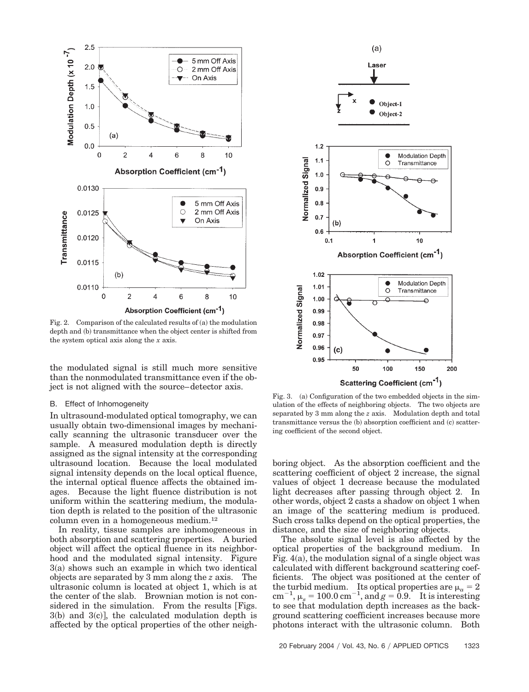

Fig. 2. Comparison of the calculated results of  $(a)$  the modulation depth and (b) transmittance when the object center is shifted from the system optical axis along the *x* axis.

the modulated signal is still much more sensitive than the nonmodulated transmittance even if the object is not aligned with the source–detector axis.

#### B. Effect of Inhomogeneity

In ultrasound-modulated optical tomography, we can usually obtain two-dimensional images by mechanically scanning the ultrasonic transducer over the sample. A measured modulation depth is directly assigned as the signal intensity at the corresponding ultrasound location. Because the local modulated signal intensity depends on the local optical fluence, the internal optical fluence affects the obtained images. Because the light fluence distribution is not uniform within the scattering medium, the modulation depth is related to the position of the ultrasonic column even in a homogeneous medium.12

In reality, tissue samples are inhomogeneous in both absorption and scattering properties. A buried object will affect the optical fluence in its neighborhood and the modulated signal intensity. Figure 3(a) shows such an example in which two identical objects are separated by 3 mm along the *z* axis. The ultrasonic column is located at object 1, which is at the center of the slab. Brownian motion is not considered in the simulation. From the results Figs.  $3(b)$  and  $3(c)$ ], the calculated modulation depth is affected by the optical properties of the other neigh-



Fig. 3. (a) Configuration of the two embedded objects in the simulation of the effects of neighboring objects. The two objects are separated by 3 mm along the *z* axis. Modulation depth and total transmittance versus the (b) absorption coefficient and (c) scattering coefficient of the second object.

boring object. As the absorption coefficient and the scattering coefficient of object 2 increase, the signal values of object 1 decrease because the modulated light decreases after passing through object 2. In other words, object 2 casts a shadow on object 1 when an image of the scattering medium is produced. Such cross talks depend on the optical properties, the distance, and the size of neighboring objects.

The absolute signal level is also affected by the optical properties of the background medium. In Fig. 4(a), the modulation signal of a single object was calculated with different background scattering coefficients. The object was positioned at the center of the turbid medium. Its optical properties are  $\mu_a = 2$ cm<sup>-1</sup>,  $\mu_s = 100.0 \text{ cm}^{-1}$ , and  $g = 0.9$ . It is interesting to see that modulation depth increases as the background scattering coefficient increases because more photons interact with the ultrasonic column. Both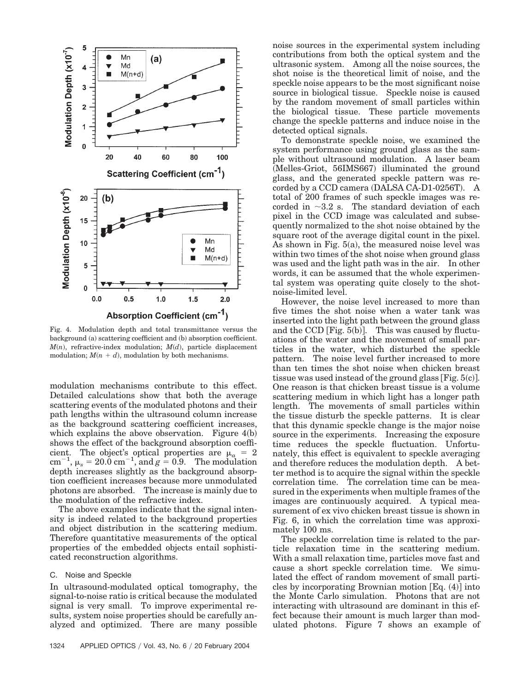

Fig. 4. Modulation depth and total transmittance versus the background (a) scattering coefficient and (b) absorption coefficient.  $M(n)$ , refractive-index modulation;  $M(d)$ , particle displacement modulation;  $M(n + d)$ , modulation by both mechanisms.

modulation mechanisms contribute to this effect. Detailed calculations show that both the average scattering events of the modulated photons and their path lengths within the ultrasound column increase as the background scattering coefficient increases, which explains the above observation. Figure  $4(b)$ shows the effect of the background absorption coefficient. The object's optical properties are  $\mu_a = 2$ cm<sup>-1</sup>,  $\mu_s = 20.0 \text{ cm}^{-1}$ , and  $g = 0.9$ . The modulation depth increases slightly as the background absorption coefficient increases because more unmodulated photons are absorbed. The increase is mainly due to the modulation of the refractive index.

The above examples indicate that the signal intensity is indeed related to the background properties and object distribution in the scattering medium. Therefore quantitative measurements of the optical properties of the embedded objects entail sophisticated reconstruction algorithms.

## C. Noise and Speckle

In ultrasound-modulated optical tomography, the signal-to-noise ratio is critical because the modulated signal is very small. To improve experimental results, system noise properties should be carefully analyzed and optimized. There are many possible noise sources in the experimental system including contributions from both the optical system and the ultrasonic system. Among all the noise sources, the shot noise is the theoretical limit of noise, and the speckle noise appears to be the most significant noise source in biological tissue. Speckle noise is caused by the random movement of small particles within the biological tissue. These particle movements change the speckle patterns and induce noise in the detected optical signals.

To demonstrate speckle noise, we examined the system performance using ground glass as the sample without ultrasound modulation. A laser beam (Melles-Griot, 56IMS667) illuminated the ground glass, and the generated speckle pattern was recorded by a CCD camera (DALSA CA-D1-0256T). A total of 200 frames of such speckle images was recorded in  $\sim$ 3.2 s. The standard deviation of each pixel in the CCD image was calculated and subsequently normalized to the shot noise obtained by the square root of the average digital count in the pixel. As shown in Fig.  $5(a)$ , the measured noise level was within two times of the shot noise when ground glass was used and the light path was in the air. In other words, it can be assumed that the whole experimental system was operating quite closely to the shotnoise-limited level.

However, the noise level increased to more than five times the shot noise when a water tank was inserted into the light path between the ground glass and the  $CCD$  [Fig.  $5(b)$ ]. This was caused by fluctuations of the water and the movement of small particles in the water, which disturbed the speckle pattern. The noise level further increased to more than ten times the shot noise when chicken breast tissue was used instead of the ground glass [Fig.  $5(c)$ ]. One reason is that chicken breast tissue is a volume scattering medium in which light has a longer path length. The movements of small particles within the tissue disturb the speckle patterns. It is clear that this dynamic speckle change is the major noise source in the experiments. Increasing the exposure time reduces the speckle fluctuation. Unfortunately, this effect is equivalent to speckle averaging and therefore reduces the modulation depth. A better method is to acquire the signal within the speckle correlation time. The correlation time can be measured in the experiments when multiple frames of the images are continuously acquired. A typical measurement of ex vivo chicken breast tissue is shown in Fig. 6, in which the correlation time was approximately 100 ms.

The speckle correlation time is related to the particle relaxation time in the scattering medium. With a small relaxation time, particles move fast and cause a short speckle correlation time. We simulated the effect of random movement of small particles by incorporating Brownian motion  $[Eq. (4)]$  into the Monte Carlo simulation. Photons that are not interacting with ultrasound are dominant in this effect because their amount is much larger than modulated photons. Figure 7 shows an example of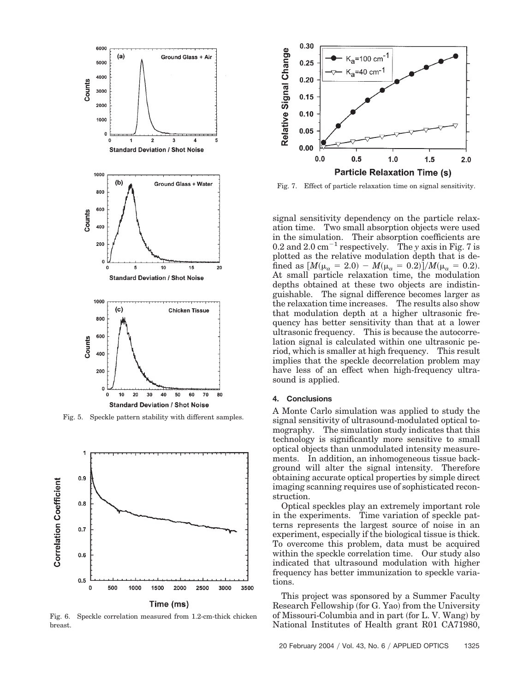

Fig. 5. Speckle pattern stability with different samples.



Fig. 6. Speckle correlation measured from 1.2-cm-thick chicken breast.



Fig. 7. Effect of particle relaxation time on signal sensitivity.

signal sensitivity dependency on the particle relaxation time. Two small absorption objects were used in the simulation. Their absorption coefficients are 0.2 and 2.0  $\text{cm}^{-1}$  respectively. The *y* axis in Fig. 7 is plotted as the relative modulation depth that is defined as  $[M(\mu_a = 2.0) - M(\mu_a = 0.2)]/M(\mu_a = 0.2)$ . At small particle relaxation time, the modulation depths obtained at these two objects are indistinguishable. The signal difference becomes larger as the relaxation time increases. The results also show that modulation depth at a higher ultrasonic frequency has better sensitivity than that at a lower ultrasonic frequency. This is because the autocorrelation signal is calculated within one ultrasonic period, which is smaller at high frequency. This result implies that the speckle decorrelation problem may have less of an effect when high-frequency ultrasound is applied.

## **4. Conclusions**

A Monte Carlo simulation was applied to study the signal sensitivity of ultrasound-modulated optical tomography. The simulation study indicates that this technology is significantly more sensitive to small optical objects than unmodulated intensity measurements. In addition, an inhomogeneous tissue background will alter the signal intensity. Therefore obtaining accurate optical properties by simple direct imaging scanning requires use of sophisticated reconstruction.

Optical speckles play an extremely important role in the experiments. Time variation of speckle patterns represents the largest source of noise in an experiment, especially if the biological tissue is thick. To overcome this problem, data must be acquired within the speckle correlation time. Our study also indicated that ultrasound modulation with higher frequency has better immunization to speckle variations.

This project was sponsored by a Summer Faculty Research Fellowship (for G. Yao) from the University of Missouri-Columbia and in part (for L. V. Wang) by National Institutes of Health grant R01 CA71980,